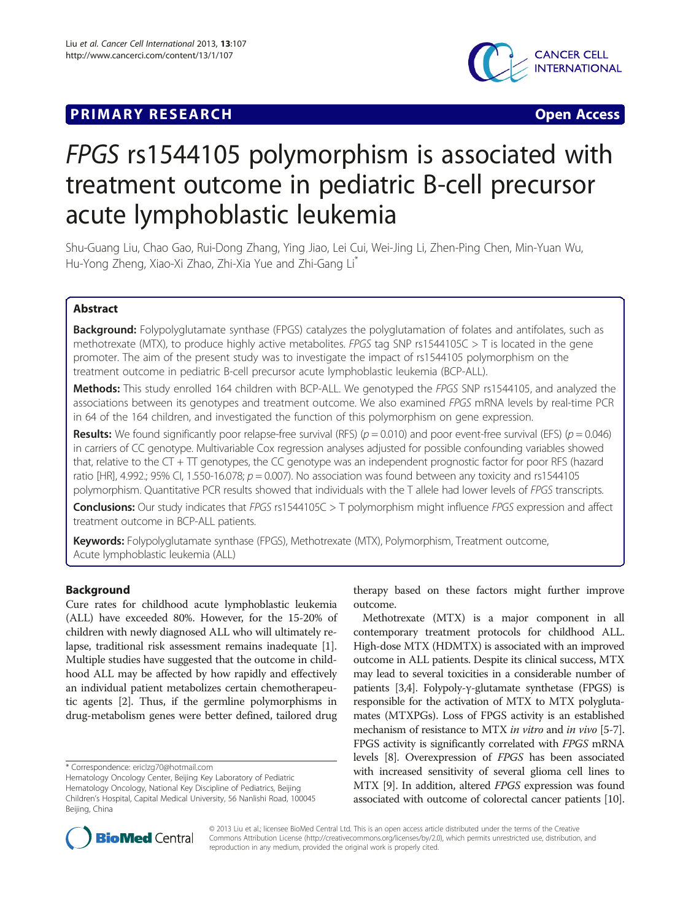# **PRIMARY RESEARCH CONSTRUCTION CONSTRUCTS**



# FPGS rs1544105 polymorphism is associated with treatment outcome in pediatric B-cell precursor acute lymphoblastic leukemia

Shu-Guang Liu, Chao Gao, Rui-Dong Zhang, Ying Jiao, Lei Cui, Wei-Jing Li, Zhen-Ping Chen, Min-Yuan Wu, Hu-Yong Zheng, Xiao-Xi Zhao, Zhi-Xia Yue and Zhi-Gang Li\*

# Abstract

Background: Folypolyglutamate synthase (FPGS) catalyzes the polyglutamation of folates and antifolates, such as methotrexate (MTX), to produce highly active metabolites. FPGS tag SNP rs1544105C  $>$  T is located in the gene promoter. The aim of the present study was to investigate the impact of rs1544105 polymorphism on the treatment outcome in pediatric B-cell precursor acute lymphoblastic leukemia (BCP-ALL).

Methods: This study enrolled 164 children with BCP-ALL. We genotyped the FPGS SNP rs1544105, and analyzed the associations between its genotypes and treatment outcome. We also examined FPGS mRNA levels by real-time PCR in 64 of the 164 children, and investigated the function of this polymorphism on gene expression.

**Results:** We found significantly poor relapse-free survival (RFS) ( $p = 0.010$ ) and poor event-free survival (EFS) ( $p = 0.046$ ) in carriers of CC genotype. Multivariable Cox regression analyses adjusted for possible confounding variables showed that, relative to the CT + TT genotypes, the CC genotype was an independent prognostic factor for poor RFS (hazard ratio [HR], 4.992.; 95% Cl, 1.550-16.078;  $p = 0.007$ ). No association was found between any toxicity and rs1544105 polymorphism. Quantitative PCR results showed that individuals with the T allele had lower levels of FPGS transcripts.

Conclusions: Our study indicates that FPGS rs1544105C > T polymorphism might influence FPGS expression and affect treatment outcome in BCP-ALL patients.

Keywords: Folypolyglutamate synthase (FPGS), Methotrexate (MTX), Polymorphism, Treatment outcome, Acute lymphoblastic leukemia (ALL)

# Background

Cure rates for childhood acute lymphoblastic leukemia (ALL) have exceeded 80%. However, for the 15-20% of children with newly diagnosed ALL who will ultimately relapse, traditional risk assessment remains inadequate [[1](#page-6-0)]. Multiple studies have suggested that the outcome in childhood ALL may be affected by how rapidly and effectively an individual patient metabolizes certain chemotherapeutic agents [\[2\]](#page-6-0). Thus, if the germline polymorphisms in drug-metabolism genes were better defined, tailored drug

\* Correspondence: [ericlzg70@hotmail.com](mailto:ericlzg70@hotmail.com)

Hematology Oncology Center, Beijing Key Laboratory of Pediatric Hematology Oncology, National Key Discipline of Pediatrics, Beijing Children's Hospital, Capital Medical University, 56 Nanlishi Road, 100045 Beijing, China

therapy based on these factors might further improve outcome.

Methotrexate (MTX) is a major component in all contemporary treatment protocols for childhood ALL. High-dose MTX (HDMTX) is associated with an improved outcome in ALL patients. Despite its clinical success, MTX may lead to several toxicities in a considerable number of patients [[3,4](#page-6-0)]. Folypoly-γ-glutamate synthetase (FPGS) is responsible for the activation of MTX to MTX polyglutamates (MTXPGs). Loss of FPGS activity is an established mechanism of resistance to MTX in vitro and in vivo [\[5](#page-6-0)-[7](#page-6-0)]. FPGS activity is significantly correlated with FPGS mRNA levels [\[8](#page-6-0)]. Overexpression of FPGS has been associated with increased sensitivity of several glioma cell lines to MTX [\[9\]](#page-6-0). In addition, altered FPGS expression was found associated with outcome of colorectal cancer patients [\[10](#page-6-0)].



© 2013 Liu et al.; licensee BioMed Central Ltd. This is an open access article distributed under the terms of the Creative Commons Attribution License [\(http://creativecommons.org/licenses/by/2.0\)](http://creativecommons.org/licenses/by/2.0), which permits unrestricted use, distribution, and reproduction in any medium, provided the original work is properly cited.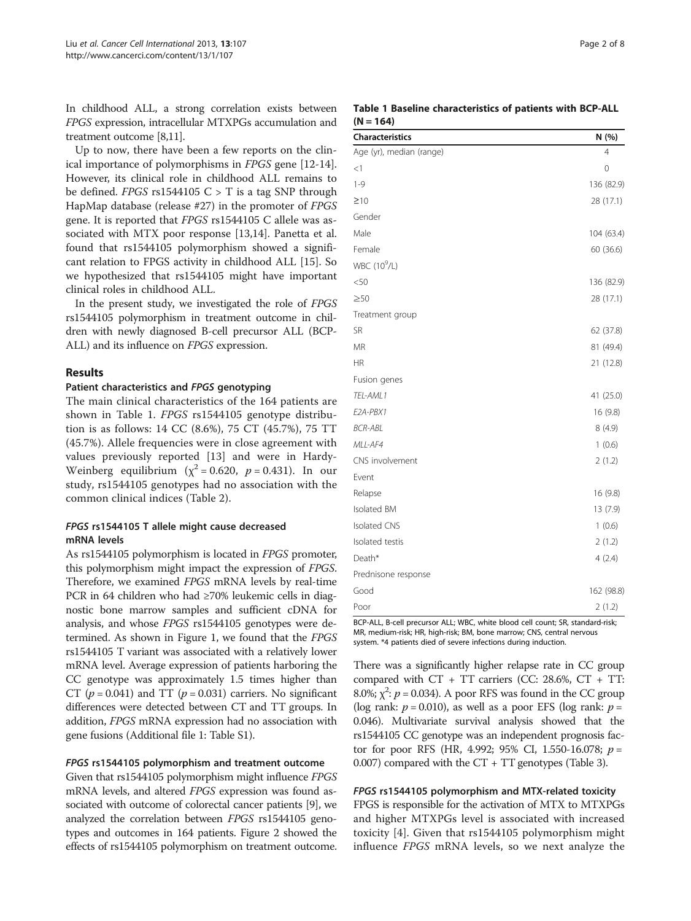<span id="page-1-0"></span>In childhood ALL, a strong correlation exists between FPGS expression, intracellular MTXPGs accumulation and treatment outcome [\[8,11\]](#page-6-0).

Up to now, there have been a few reports on the clinical importance of polymorphisms in FPGS gene [\[12-14](#page-6-0)]. However, its clinical role in childhood ALL remains to be defined. FPGS rs1544105  $C > T$  is a tag SNP through HapMap database (release #27) in the promoter of FPGS gene. It is reported that FPGS rs1544105 C allele was associated with MTX poor response [[13,14\]](#page-6-0). Panetta et al. found that rs1544105 polymorphism showed a significant relation to FPGS activity in childhood ALL [[15\]](#page-6-0). So we hypothesized that rs1544105 might have important clinical roles in childhood ALL.

In the present study, we investigated the role of FPGS rs1544105 polymorphism in treatment outcome in children with newly diagnosed B-cell precursor ALL (BCP-ALL) and its influence on FPGS expression.

# Results

#### Patient characteristics and FPGS genotyping

The main clinical characteristics of the 164 patients are shown in Table 1. FPGS rs1544105 genotype distribution is as follows: 14 CC (8.6%), 75 CT (45.7%), 75 TT (45.7%). Allele frequencies were in close agreement with values previously reported [\[13](#page-6-0)] and were in Hardy-Weinberg equilibrium ( $\chi^2$  = 0.620,  $p$  = 0.431). In our study, rs1544105 genotypes had no association with the common clinical indices (Table [2\)](#page-2-0).

# FPGS rs1544105 T allele might cause decreased mRNA levels

As rs1544105 polymorphism is located in FPGS promoter, this polymorphism might impact the expression of FPGS. Therefore, we examined FPGS mRNA levels by real-time PCR in 64 children who had ≥70% leukemic cells in diagnostic bone marrow samples and sufficient cDNA for analysis, and whose FPGS rs1544105 genotypes were determined. As shown in Figure [1](#page-2-0), we found that the FPGS rs1544105 T variant was associated with a relatively lower mRNA level. Average expression of patients harboring the CC genotype was approximately 1.5 times higher than CT ( $p = 0.041$ ) and TT ( $p = 0.031$ ) carriers. No significant differences were detected between CT and TT groups. In addition, FPGS mRNA expression had no association with gene fusions (Additional file [1:](#page-6-0) Table S1).

# FPGS rs1544105 polymorphism and treatment outcome

Given that rs1544105 polymorphism might influence FPGS mRNA levels, and altered FPGS expression was found associated with outcome of colorectal cancer patients [[9\]](#page-6-0), we analyzed the correlation between FPGS rs1544105 genotypes and outcomes in 164 patients. Figure [2](#page-3-0) showed the effects of rs1544105 polymorphism on treatment outcome.

|             | Table 1 Baseline characteristics of patients with BCP-ALL |  |  |  |
|-------------|-----------------------------------------------------------|--|--|--|
| $(N = 164)$ |                                                           |  |  |  |

| <b>Characteristics</b>   | N (%)          |
|--------------------------|----------------|
| Age (yr), median (range) | $\overline{4}$ |
| $<$ 1                    | 0              |
| $1 - 9$                  | 136 (82.9)     |
| $\geq 10$                | 28 (17.1)      |
| Gender                   |                |
| Male                     | 104 (63.4)     |
| Female                   | 60 (36.6)      |
| WBC (10 <sup>9</sup> /L) |                |
| < 50                     | 136 (82.9)     |
| $\geq 50$                | 28 (17.1)      |
| Treatment group          |                |
| SR                       | 62 (37.8)      |
| <b>MR</b>                | 81 (49.4)      |
| <b>HR</b>                | 21 (12.8)      |
| Fusion genes             |                |
| TEL-AML1                 | 41 (25.0)      |
| E2A-PBX1                 | 16(9.8)        |
| <b>BCR-ABL</b>           | 8(4.9)         |
| MLL-AF4                  | 1(0.6)         |
| CNS involvement          | 2(1.2)         |
| Event                    |                |
| Relapse                  | 16 (9.8)       |
| Isolated BM              | 13 (7.9)       |
| <b>Isolated CNS</b>      | 1(0.6)         |
| Isolated testis          | 2(1.2)         |
| Death*                   | 4(2.4)         |
| Prednisone response      |                |
| Good                     | 162 (98.8)     |
| Poor                     | 2(1.2)         |

BCP-ALL, B-cell precursor ALL; WBC, white blood cell count; SR, standard-risk; MR, medium-risk; HR, high-risk; BM, bone marrow; CNS, central nervous system. \*4 patients died of severe infections during induction.

There was a significantly higher relapse rate in CC group compared with  $CT + TT$  carriers (CC: 28.6%,  $CT + TT$ : 8.0%;  $\chi^2$ :  $p = 0.034$ ). A poor RFS was found in the CC group (log rank:  $p = 0.010$ ), as well as a poor EFS (log rank:  $p =$ 0.046). Multivariate survival analysis showed that the rs1544105 CC genotype was an independent prognosis factor for poor RFS (HR, 4.992; 95% CI, 1.550-16.078;  $p =$ 0.007) compared with the CT + TT genotypes (Table [3](#page-3-0)).

#### FPGS rs1544105 polymorphism and MTX-related toxicity

FPGS is responsible for the activation of MTX to MTXPGs and higher MTXPGs level is associated with increased toxicity [\[4](#page-6-0)]. Given that rs1544105 polymorphism might influence FPGS mRNA levels, so we next analyze the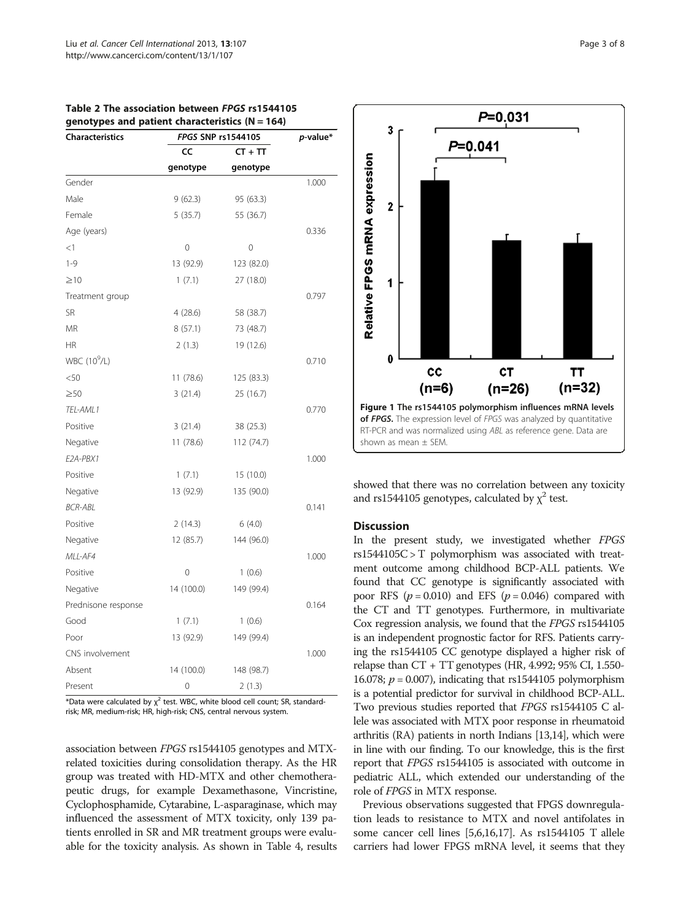| <b>Characteristics</b>   |            | FPGS SNP rs1544105 |       |  |
|--------------------------|------------|--------------------|-------|--|
|                          | CC         | $CT + TT$          |       |  |
|                          | genotype   | genotype           |       |  |
| Gender                   |            |                    | 1.000 |  |
| Male                     | 9(62.3)    | 95 (63.3)          |       |  |
| Female                   | 5(35.7)    | 55 (36.7)          |       |  |
| Age (years)              |            |                    | 0.336 |  |
| $<$ 1                    | 0          | 0                  |       |  |
| $1 - 9$                  | 13 (92.9)  | 123 (82.0)         |       |  |
| $\geq$ 10                | 1(7.1)     | 27 (18.0)          |       |  |
| Treatment group          |            |                    | 0.797 |  |
| SR                       | 4(28.6)    | 58 (38.7)          |       |  |
| MR                       | 8(57.1)    | 73 (48.7)          |       |  |
| ΗR                       | 2(1.3)     | 19 (12.6)          |       |  |
| WBC (10 <sup>9</sup> /L) |            |                    | 0.710 |  |
| < 50                     | 11(78.6)   | 125 (83.3)         |       |  |
| $\geq 50$                | 3(21.4)    | 25 (16.7)          |       |  |
| TEL-AML1                 |            |                    | 0.770 |  |
| Positive                 | 3(21.4)    | 38 (25.3)          |       |  |
| Negative                 | 11(78.6)   | 112 (74.7)         |       |  |
| E2A-PBX1                 |            |                    | 1.000 |  |
| Positive                 | 1(7.1)     | 15 (10.0)          |       |  |
| Negative                 | 13 (92.9)  | 135 (90.0)         |       |  |
| BCR-ABL                  |            |                    | 0.141 |  |
| Positive                 | 2(14.3)    | 6(4.0)             |       |  |
| Negative                 | 12(85.7)   | 144 (96.0)         |       |  |
| MLL-AF4                  |            |                    | 1.000 |  |
| Positive                 | 0          | 1(0.6)             |       |  |
| Negative                 | 14 (100.0) | 149 (99.4)         |       |  |
| Prednisone response      |            |                    | 0.164 |  |
| Good                     | 1(7.1)     | 1(0.6)             |       |  |
| Poor                     | 13 (92.9)  | 149 (99.4)         |       |  |
| CNS involvement          |            |                    | 1.000 |  |
| Absent                   | 14 (100.0) | 148 (98.7)         |       |  |
| Present                  | 0          | 2(1.3)             |       |  |

<span id="page-2-0"></span>Table 2 The association between FPGS rs1544105 genotypes and patient characteristics (N = 164)

 $*$ Data were calculated by  $\chi^2$  test. WBC, white blood cell count; SR, standardrisk; MR, medium-risk; HR, high-risk; CNS, central nervous system.

association between FPGS rs1544105 genotypes and MTXrelated toxicities during consolidation therapy. As the HR group was treated with HD-MTX and other chemotherapeutic drugs, for example Dexamethasone, Vincristine, Cyclophosphamide, Cytarabine, L-asparaginase, which may influenced the assessment of MTX toxicity, only 139 patients enrolled in SR and MR treatment groups were evaluable for the toxicity analysis. As shown in Table [4](#page-4-0), results



showed that there was no correlation between any toxicity and rs1544105 genotypes, calculated by  $\chi^2$  test.

#### Discussion

In the present study, we investigated whether FPGS rs1544105C > T polymorphism was associated with treatment outcome among childhood BCP-ALL patients. We found that CC genotype is significantly associated with poor RFS  $(p = 0.010)$  and EFS  $(p = 0.046)$  compared with the CT and TT genotypes. Furthermore, in multivariate Cox regression analysis, we found that the FPGS rs1544105 is an independent prognostic factor for RFS. Patients carrying the rs1544105 CC genotype displayed a higher risk of relapse than CT + TT genotypes (HR, 4.992; 95% CI, 1.550- 16.078;  $p = 0.007$ ), indicating that rs1544105 polymorphism is a potential predictor for survival in childhood BCP-ALL. Two previous studies reported that FPGS rs1544105 C allele was associated with MTX poor response in rheumatoid arthritis (RA) patients in north Indians [\[13,14](#page-6-0)], which were in line with our finding. To our knowledge, this is the first report that FPGS rs1544105 is associated with outcome in pediatric ALL, which extended our understanding of the role of FPGS in MTX response.

Previous observations suggested that FPGS downregulation leads to resistance to MTX and novel antifolates in some cancer cell lines [[5,6,16,17\]](#page-6-0). As rs1544105 T allele carriers had lower FPGS mRNA level, it seems that they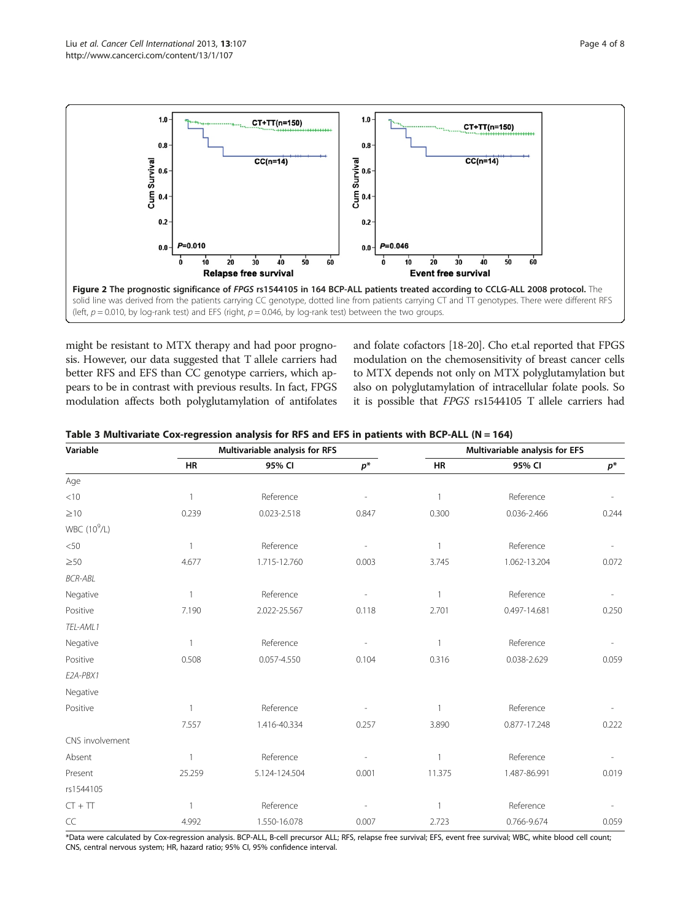<span id="page-3-0"></span>

might be resistant to MTX therapy and had poor prognosis. However, our data suggested that T allele carriers had better RFS and EFS than CC genotype carriers, which appears to be in contrast with previous results. In fact, FPGS modulation affects both polyglutamylation of antifolates and folate cofactors [[18-20\]](#page-6-0). Cho et.al reported that FPGS modulation on the chemosensitivity of breast cancer cells to MTX depends not only on MTX polyglutamylation but also on polyglutamylation of intracellular folate pools. So it is possible that FPGS rs1544105 T allele carriers had

|  |  |  |  | Table 3 Multivariate Cox-regression analysis for RFS and EFS in patients with BCP-ALL (N = 164) |
|--|--|--|--|-------------------------------------------------------------------------------------------------|
|--|--|--|--|-------------------------------------------------------------------------------------------------|

| Variable                 |              | Multivariable analysis for RFS |       | Multivariable analysis for EFS |              |       |
|--------------------------|--------------|--------------------------------|-------|--------------------------------|--------------|-------|
|                          | <b>HR</b>    | 95% CI                         | $p^*$ | <b>HR</b>                      | 95% CI       | $p^*$ |
| Age                      |              |                                |       |                                |              |       |
| < 10                     | 1            | Reference                      |       | 1                              | Reference    |       |
| $\geq 10$                | 0.239        | 0.023-2.518                    | 0.847 | 0.300                          | 0.036-2.466  | 0.244 |
| WBC (10 <sup>9</sup> /L) |              |                                |       |                                |              |       |
| < 50                     | $\mathbf{1}$ | Reference                      |       | 1                              | Reference    |       |
| $\geq 50$                | 4.677        | 1.715-12.760                   | 0.003 | 3.745                          | 1.062-13.204 | 0.072 |
| <b>BCR-ABL</b>           |              |                                |       |                                |              |       |
| Negative                 |              | Reference                      |       |                                | Reference    |       |
| Positive                 | 7.190        | 2.022-25.567                   | 0.118 | 2.701                          | 0.497-14.681 | 0.250 |
| TEL-AML1                 |              |                                |       |                                |              |       |
| Negative                 | 1            | Reference                      |       | 1                              | Reference    |       |
| Positive                 | 0.508        | 0.057-4.550                    | 0.104 | 0.316                          | 0.038-2.629  | 0.059 |
| E2A-PBX1                 |              |                                |       |                                |              |       |
| Negative                 |              |                                |       |                                |              |       |
| Positive                 |              | Reference                      |       |                                | Reference    |       |
|                          | 7.557        | 1.416-40.334                   | 0.257 | 3.890                          | 0.877-17.248 | 0.222 |
| CNS involvement          |              |                                |       |                                |              |       |
| Absent                   | $\mathbf{1}$ | Reference                      |       |                                | Reference    |       |
| Present                  | 25.259       | 5.124-124.504                  | 0.001 | 11.375                         | 1.487-86.991 | 0.019 |
| rs1544105                |              |                                |       |                                |              |       |
| $CT + TT$                | $\mathbf{1}$ | Reference                      |       | 1                              | Reference    |       |
| CC                       | 4.992        | 1.550-16.078                   | 0.007 | 2.723                          | 0.766-9.674  | 0.059 |

\*Data were calculated by Cox-regression analysis. BCP-ALL, B-cell precursor ALL; RFS, relapse free survival; EFS, event free survival; WBC, white blood cell count; CNS, central nervous system; HR, hazard ratio; 95% CI, 95% confidence interval.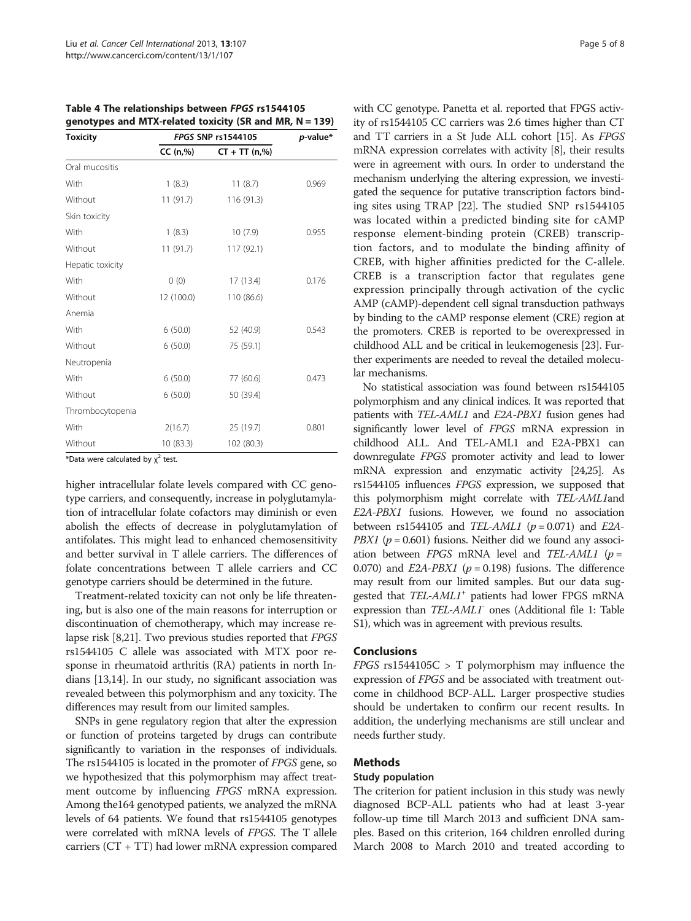<span id="page-4-0"></span>Table 4 The relationships between FPGS rs1544105 genotypes and MTX-related toxicity (SR and MR,  $N = 139$ )

| <b>Toxicity</b>  | FPGS SNP rs1544105 | $p$ -value*     |       |
|------------------|--------------------|-----------------|-------|
|                  | CC (n,%)           | $CT + TT (n,%)$ |       |
| Oral mucositis   |                    |                 |       |
| With             | 1(8.3)             | 11(8.7)         | 0.969 |
| Without          | 11(91.7)           | 116(91.3)       |       |
| Skin toxicity    |                    |                 |       |
| With             | 1(8.3)             | 10(7.9)         | 0.955 |
| Without          | 11(91.7)           | 117 (92.1)      |       |
| Hepatic toxicity |                    |                 |       |
| With             | (0)                | 17(13.4)        | 0.176 |
| Without          | 12 (100.0)         | 110 (86.6)      |       |
| Anemia           |                    |                 |       |
| With             | 6(50.0)            | 52 (40.9)       | 0.543 |
| Without          | 6(50.0)            | 75 (59.1)       |       |
| Neutropenia      |                    |                 |       |
| With             | 6(50.0)            | 77 (60.6)       | 0.473 |
| Without          | 6(50.0)            | 50 (39.4)       |       |
| Thrombocytopenia |                    |                 |       |
| With             | 2(16.7)            | 25 (19.7)       | 0.801 |
| Without          | 10 (83.3)          | 102 (80.3)      |       |

\*Data were calculated by  $\chi^2$  test.

higher intracellular folate levels compared with CC genotype carriers, and consequently, increase in polyglutamylation of intracellular folate cofactors may diminish or even abolish the effects of decrease in polyglutamylation of antifolates. This might lead to enhanced chemosensitivity and better survival in T allele carriers. The differences of folate concentrations between T allele carriers and CC genotype carriers should be determined in the future.

Treatment-related toxicity can not only be life threatening, but is also one of the main reasons for interruption or discontinuation of chemotherapy, which may increase relapse risk [[8,21](#page-6-0)]. Two previous studies reported that FPGS rs1544105 C allele was associated with MTX poor response in rheumatoid arthritis (RA) patients in north Indians [\[13,14](#page-6-0)]. In our study, no significant association was revealed between this polymorphism and any toxicity. The differences may result from our limited samples.

SNPs in gene regulatory region that alter the expression or function of proteins targeted by drugs can contribute significantly to variation in the responses of individuals. The rs1544105 is located in the promoter of FPGS gene, so we hypothesized that this polymorphism may affect treatment outcome by influencing FPGS mRNA expression. Among the164 genotyped patients, we analyzed the mRNA levels of 64 patients. We found that rs1544105 genotypes were correlated with mRNA levels of FPGS. The T allele carriers (CT + TT) had lower mRNA expression compared with CC genotype. Panetta et al. reported that FPGS activity of rs1544105 CC carriers was 2.6 times higher than CT and TT carriers in a St Jude ALL cohort [[15](#page-6-0)]. As FPGS mRNA expression correlates with activity [[8\]](#page-6-0), their results were in agreement with ours. In order to understand the mechanism underlying the altering expression, we investigated the sequence for putative transcription factors binding sites using TRAP [[22](#page-7-0)]. The studied SNP rs1544105 was located within a predicted binding site for cAMP response element-binding protein (CREB) transcription factors, and to modulate the binding affinity of CREB, with higher affinities predicted for the C-allele. CREB is a transcription factor that regulates gene expression principally through activation of the cyclic AMP (cAMP)-dependent cell signal transduction pathways by binding to the cAMP response element (CRE) region at the promoters. CREB is reported to be overexpressed in childhood ALL and be critical in leukemogenesis [\[23\]](#page-7-0). Further experiments are needed to reveal the detailed molecular mechanisms.

No statistical association was found between rs1544105 polymorphism and any clinical indices. It was reported that patients with TEL-AML1 and E2A-PBX1 fusion genes had significantly lower level of FPGS mRNA expression in childhood ALL. And TEL-AML1 and E2A-PBX1 can downregulate FPGS promoter activity and lead to lower mRNA expression and enzymatic activity [\[24,25\]](#page-7-0). As rs1544105 influences FPGS expression, we supposed that this polymorphism might correlate with TEL-AML1and E2A-PBX1 fusions. However, we found no association between rs1544105 and *TEL-AML1* ( $p = 0.071$ ) and *E2A*-*PBX1* ( $p = 0.601$ ) fusions. Neither did we found any association between FPGS mRNA level and TEL-AML1 ( $p =$ 0.070) and  $E2A-PBX1$  ( $p = 0.198$ ) fusions. The difference may result from our limited samples. But our data suggested that TEL-AML1<sup>+</sup> patients had lower FPGS mRNA expression than *TEL-AML1* ones (Additional file [1:](#page-6-0) Table S1), which was in agreement with previous results.

#### Conclusions

 $FPGS$  rs1544105C > T polymorphism may influence the expression of FPGS and be associated with treatment outcome in childhood BCP-ALL. Larger prospective studies should be undertaken to confirm our recent results. In addition, the underlying mechanisms are still unclear and needs further study.

#### Methods

#### Study population

The criterion for patient inclusion in this study was newly diagnosed BCP-ALL patients who had at least 3-year follow-up time till March 2013 and sufficient DNA samples. Based on this criterion, 164 children enrolled during March 2008 to March 2010 and treated according to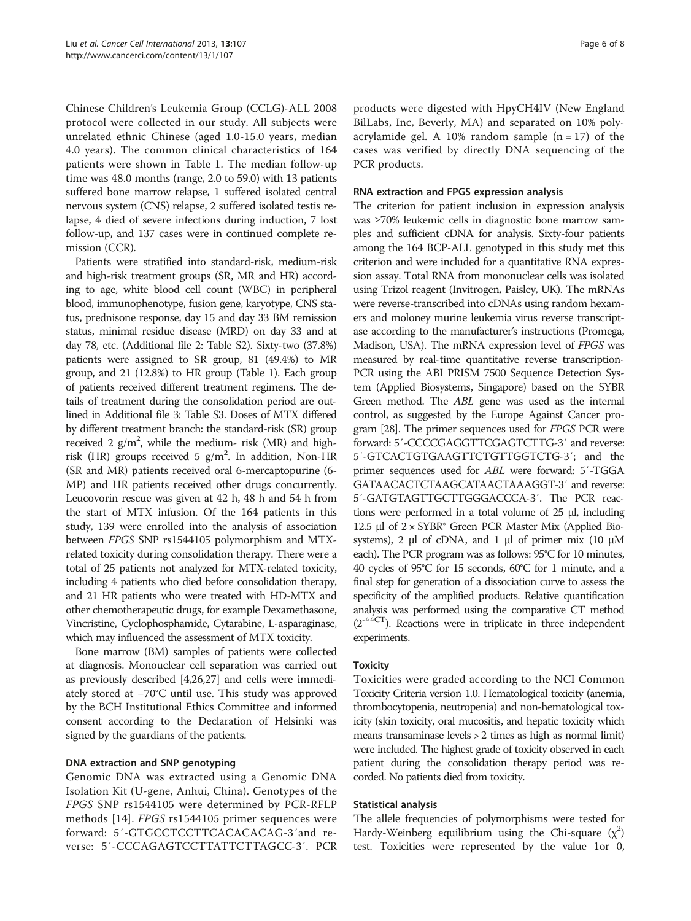Chinese Children's Leukemia Group (CCLG)-ALL 2008 protocol were collected in our study. All subjects were unrelated ethnic Chinese (aged 1.0-15.0 years, median 4.0 years). The common clinical characteristics of 164 patients were shown in Table [1](#page-1-0). The median follow-up time was 48.0 months (range, 2.0 to 59.0) with 13 patients suffered bone marrow relapse, 1 suffered isolated central nervous system (CNS) relapse, 2 suffered isolated testis relapse, 4 died of severe infections during induction, 7 lost follow-up, and 137 cases were in continued complete remission (CCR).

Patients were stratified into standard-risk, medium-risk and high-risk treatment groups (SR, MR and HR) according to age, white blood cell count (WBC) in peripheral blood, immunophenotype, fusion gene, karyotype, CNS status, prednisone response, day 15 and day 33 BM remission status, minimal residue disease (MRD) on day 33 and at day 78, etc. (Additional file [2](#page-6-0): Table S2). Sixty-two (37.8%) patients were assigned to SR group, 81 (49.4%) to MR group, and 21 (12.8%) to HR group (Table [1](#page-1-0)). Each group of patients received different treatment regimens. The details of treatment during the consolidation period are outlined in Additional file [3:](#page-6-0) Table S3. Doses of MTX differed by different treatment branch: the standard-risk (SR) group received 2  $g/m^2$ , while the medium- risk (MR) and highrisk (HR) groups received 5  $g/m^2$ . In addition, Non-HR (SR and MR) patients received oral 6-mercaptopurine (6- MP) and HR patients received other drugs concurrently. Leucovorin rescue was given at 42 h, 48 h and 54 h from the start of MTX infusion. Of the 164 patients in this study, 139 were enrolled into the analysis of association between FPGS SNP rs1544105 polymorphism and MTXrelated toxicity during consolidation therapy. There were a total of 25 patients not analyzed for MTX-related toxicity, including 4 patients who died before consolidation therapy, and 21 HR patients who were treated with HD-MTX and other chemotherapeutic drugs, for example Dexamethasone, Vincristine, Cyclophosphamide, Cytarabine, L-asparaginase, which may influenced the assessment of MTX toxicity.

Bone marrow (BM) samples of patients were collected at diagnosis. Monouclear cell separation was carried out as previously described [\[4](#page-6-0)[,26,27\]](#page-7-0) and cells were immediately stored at −70°C until use. This study was approved by the BCH Institutional Ethics Committee and informed consent according to the Declaration of Helsinki was signed by the guardians of the patients.

# DNA extraction and SNP genotyping

Genomic DNA was extracted using a Genomic DNA Isolation Kit (U-gene, Anhui, China). Genotypes of the FPGS SNP rs1544105 were determined by PCR-RFLP methods [[14](#page-6-0)]. FPGS rs1544105 primer sequences were forward: 5′-GTGCCTCCTTCACACACAG-3′and reverse: 5′-CCCAGAGTCCTTATTCTTAGCC-3′. PCR products were digested with HpyCH4IV (New England BilLabs, Inc, Beverly, MA) and separated on 10% polyacrylamide gel. A 10% random sample  $(n = 17)$  of the cases was verified by directly DNA sequencing of the PCR products.

#### RNA extraction and FPGS expression analysis

The criterion for patient inclusion in expression analysis was ≥70% leukemic cells in diagnostic bone marrow samples and sufficient cDNA for analysis. Sixty-four patients among the 164 BCP-ALL genotyped in this study met this criterion and were included for a quantitative RNA expression assay. Total RNA from mononuclear cells was isolated using Trizol reagent (Invitrogen, Paisley, UK). The mRNAs were reverse-transcribed into cDNAs using random hexamers and moloney murine leukemia virus reverse transcriptase according to the manufacturer's instructions (Promega, Madison, USA). The mRNA expression level of FPGS was measured by real-time quantitative reverse transcription-PCR using the ABI PRISM 7500 Sequence Detection System (Applied Biosystems, Singapore) based on the SYBR Green method. The ABL gene was used as the internal control, as suggested by the Europe Against Cancer program [\[28](#page-7-0)]. The primer sequences used for FPGS PCR were forward: 5′-CCCCGAGGTTCGAGTCTTG-3′ and reverse: 5′-GTCACTGTGAAGTTCTGTTGGTCTG-3′; and the primer sequences used for ABL were forward: 5′-TGGA GATAACACTCTAAGCATAACTAAAGGT-3′ and reverse: 5′-GATGTAGTTGCTTGGGACCCA-3′. The PCR reactions were performed in a total volume of 25 μl, including 12.5 μl of  $2 \times SYBR$ <sup>®</sup> Green PCR Master Mix (Applied Biosystems), 2 μl of cDNA, and 1 μl of primer mix (10 μM each). The PCR program was as follows: 95°C for 10 minutes, 40 cycles of 95°C for 15 seconds, 60°C for 1 minute, and a final step for generation of a dissociation curve to assess the specificity of the amplified products. Relative quantification analysis was performed using the comparative CT method  $(2^{-\Delta}$ <sup>CT</sup>). Reactions were in triplicate in three independent experiments.

#### **Toxicity**

Toxicities were graded according to the NCI Common Toxicity Criteria version 1.0. Hematological toxicity (anemia, thrombocytopenia, neutropenia) and non-hematological toxicity (skin toxicity, oral mucositis, and hepatic toxicity which means transaminase levels > 2 times as high as normal limit) were included. The highest grade of toxicity observed in each patient during the consolidation therapy period was recorded. No patients died from toxicity.

#### Statistical analysis

The allele frequencies of polymorphisms were tested for Hardy-Weinberg equilibrium using the Chi-square  $(\chi^2)$ test. Toxicities were represented by the value 1or 0,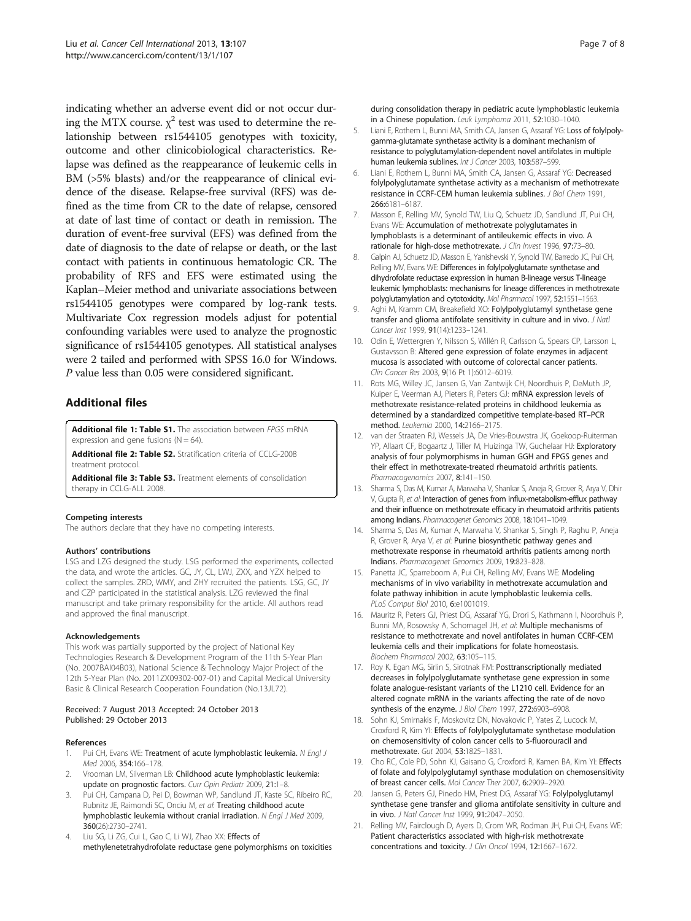<span id="page-6-0"></span>indicating whether an adverse event did or not occur during the MTX course.  $\chi^2$  test was used to determine the relationship between rs1544105 genotypes with toxicity, outcome and other clinicobiological characteristics. Relapse was defined as the reappearance of leukemic cells in BM (>5% blasts) and/or the reappearance of clinical evidence of the disease. Relapse-free survival (RFS) was defined as the time from CR to the date of relapse, censored at date of last time of contact or death in remission. The duration of event-free survival (EFS) was defined from the date of diagnosis to the date of relapse or death, or the last contact with patients in continuous hematologic CR. The probability of RFS and EFS were estimated using the Kaplan–Meier method and univariate associations between rs1544105 genotypes were compared by log-rank tests. Multivariate Cox regression models adjust for potential confounding variables were used to analyze the prognostic significance of rs1544105 genotypes. All statistical analyses were 2 tailed and performed with SPSS 16.0 for Windows. P value less than 0.05 were considered significant.

# Additional files

[Additional file 1: Table S1.](http://www.biomedcentral.com/content/supplementary/1475-2867-13-107-S1.doc) The association between FPGS mRNA expression and gene fusions  $(N = 64)$ .

[Additional file 2: Table S2.](http://www.biomedcentral.com/content/supplementary/1475-2867-13-107-S2.doc) Stratification criteria of CCLG-2008 treatment protocol.

[Additional file 3: Table S3.](http://www.biomedcentral.com/content/supplementary/1475-2867-13-107-S3.doc) Treatment elements of consolidation therapy in CCLG-ALL 2008.

#### Competing interests

The authors declare that they have no competing interests.

#### Authors' contributions

LSG and LZG designed the study. LSG performed the experiments, collected the data, and wrote the articles. GC, JY, CL, LWJ, ZXX, and YZX helped to collect the samples. ZRD, WMY, and ZHY recruited the patients. LSG, GC, JY and CZP participated in the statistical analysis. LZG reviewed the final manuscript and take primary responsibility for the article. All authors read and approved the final manuscript.

#### Acknowledgements

This work was partially supported by the project of National Key Technologies Research & Development Program of the 11th 5-Year Plan (No. 2007BAI04B03), National Science & Technology Major Project of the 12th 5-Year Plan (No. 2011ZX09302-007-01) and Capital Medical University Basic & Clinical Research Cooperation Foundation (No.13JL72).

#### Received: 7 August 2013 Accepted: 24 October 2013 Published: 29 October 2013

#### References

- Pui CH, Evans WE: Treatment of acute lymphoblastic leukemia. N Engl J Med 2006, 354:166–178.
- 2. Vrooman LM, Silverman LB: Childhood acute lymphoblastic leukemia: update on prognostic factors. Curr Opin Pediatr 2009, 21:1–8.
- Pui CH, Campana D, Pei D, Bowman WP, Sandlund JT, Kaste SC, Ribeiro RC, Rubnitz JE, Raimondi SC, Onciu M, et al: Treating childhood acute lymphoblastic leukemia without cranial irradiation. N Engl J Med 2009, 360(26):2730–2741.
- 4. Liu SG, Li ZG, Cui L, Gao C, Li WJ, Zhao XX: Effects of methylenetetrahydrofolate reductase gene polymorphisms on toxicities

during consolidation therapy in pediatric acute lymphoblastic leukemia in a Chinese population. Leuk Lymphoma 2011, 52:1030–1040.

- 5. Liani E, Rothem L, Bunni MA, Smith CA, Jansen G, Assaraf YG: Loss of folylpolygamma-glutamate synthetase activity is a dominant mechanism of resistance to polyglutamylation-dependent novel antifolates in multiple human leukemia sublines. Int J Cancer 2003, 103:587-599
- 6. Liani E, Rothem L, Bunni MA, Smith CA, Jansen G, Assaraf YG: Decreased folylpolyglutamate synthetase activity as a mechanism of methotrexate resistance in CCRF-CEM human leukemia sublines. J Biol Chem 1991, 266:6181–6187.
- 7. Masson E, Relling MV, Synold TW, Liu Q, Schuetz JD, Sandlund JT, Pui CH, Evans WE: Accumulation of methotrexate polyglutamates in lymphoblasts is a determinant of antileukemic effects in vivo. A rationale for high-dose methotrexate. J Clin Invest 1996, 97:73–80.
- 8. Galpin AJ, Schuetz JD, Masson E, Yanishevski Y, Synold TW, Barredo JC, Pui CH, Relling MV, Evans WE: Differences in folylpolyglutamate synthetase and dihydrofolate reductase expression in human B-lineage versus T-lineage leukemic lymphoblasts: mechanisms for lineage differences in methotrexate polyglutamylation and cytotoxicity. Mol Pharmacol 1997, 52:1551-1563.
- 9. Aghi M, Kramm CM, Breakefield XO: Folylpolyglutamyl synthetase gene transfer and glioma antifolate sensitivity in culture and in vivo. J Natl Cancer Inst 1999, 91(14):1233–1241.
- 10. Odin E, Wettergren Y, Nilsson S, Willén R, Carlsson G, Spears CP, Larsson L, Gustavsson B: Altered gene expression of folate enzymes in adjacent mucosa is associated with outcome of colorectal cancer patients. Clin Cancer Res 2003, 9(16 Pt 1):6012–6019.
- 11. Rots MG, Willey JC, Jansen G, Van Zantwijk CH, Noordhuis P, DeMuth JP, Kuiper E, Veerman AJ, Pieters R, Peters GJ: mRNA expression levels of methotrexate resistance-related proteins in childhood leukemia as determined by a standardized competitive template-based RT–PCR method. Leukemia 2000, 14:2166–2175.
- 12. van der Straaten RJ, Wessels JA, De Vries-Bouwstra JK, Goekoop-Ruiterman YP, Allaart CF, Bogaartz J, Tiller M, Huizinga TW, Guchelaar HJ: Exploratory analysis of four polymorphisms in human GGH and FPGS genes and their effect in methotrexate-treated rheumatoid arthritis patients. Pharmacogenomics 2007, 8:141-150.
- 13. Sharma S, Das M, Kumar A, Marwaha V, Shankar S, Aneja R, Grover R, Arya V, Dhir V, Gupta R, et al: Interaction of genes from influx-metabolism-efflux pathway and their influence on methotrexate efficacy in rheumatoid arthritis patients among Indians. Pharmacogenet Genomics 2008, 18:1041–1049.
- 14. Sharma S, Das M, Kumar A, Marwaha V, Shankar S, Singh P, Raghu P, Aneja R, Grover R, Arya V, et al: Purine biosynthetic pathway genes and methotrexate response in rheumatoid arthritis patients among north Indians. Pharmacogenet Genomics 2009, 19:823–828.
- 15. Panetta JC, Sparreboom A, Pui CH, Relling MV, Evans WE: Modeling mechanisms of in vivo variability in methotrexate accumulation and folate pathway inhibition in acute lymphoblastic leukemia cells. PLoS Comput Biol 2010, 6:e1001019.
- 16. Mauritz R, Peters GJ, Priest DG, Assaraf YG, Drori S, Kathmann I, Noordhuis P, Bunni MA, Rosowsky A, Schornagel JH, et al: Multiple mechanisms of resistance to methotrexate and novel antifolates in human CCRF-CEM leukemia cells and their implications for folate homeostasis. Biochem Pharmacol 2002, 63:105–115.
- 17. Roy K, Egan MG, Sirlin S, Sirotnak FM: Posttranscriptionally mediated decreases in folylpolyglutamate synthetase gene expression in some folate analogue-resistant variants of the L1210 cell. Evidence for an altered cognate mRNA in the variants affecting the rate of de novo synthesis of the enzyme. J Biol Chem 1997, 272:6903–6908.
- 18. Sohn KJ, Smirnakis F, Moskovitz DN, Novakovic P, Yates Z, Lucock M, Croxford R, Kim YI: Effects of folylpolyglutamate synthetase modulation on chemosensitivity of colon cancer cells to 5-fluorouracil and methotrexate. Gut 2004, 53:1825–1831.
- 19. Cho RC, Cole PD, Sohn KJ, Gaisano G, Croxford R, Kamen BA, Kim YI: Effects of folate and folylpolyglutamyl synthase modulation on chemosensitivity of breast cancer cells. Mol Cancer Ther 2007, 6:2909–2920.
- 20. Jansen G, Peters GJ, Pinedo HM, Priest DG, Assaraf YG: Folylpolyglutamyl synthetase gene transfer and glioma antifolate sensitivity in culture and in vivo. J Natl Cancer Inst 1999, 91:2047–2050.
- 21. Relling MV, Fairclough D, Ayers D, Crom WR, Rodman JH, Pui CH, Evans WE: Patient characteristics associated with high-risk methotrexate concentrations and toxicity. J Clin Oncol 1994, 12:1667-1672.